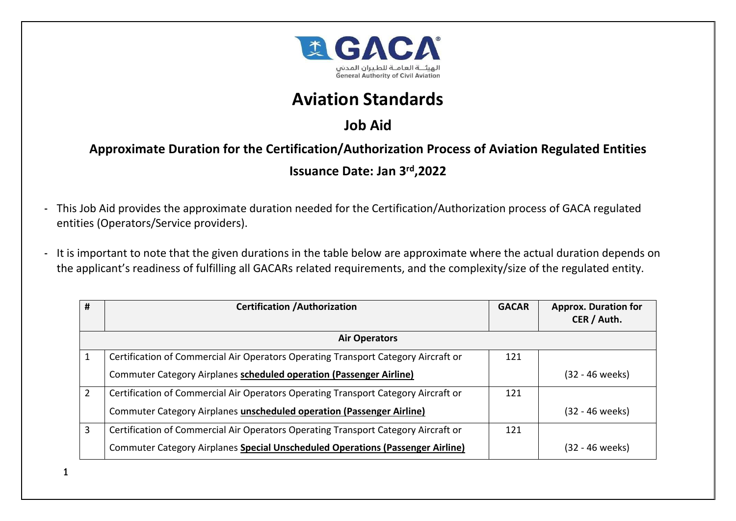

## **Aviation Standards**

## **Job Aid**

**Approximate Duration for the Certification/Authorization Process of Aviation Regulated Entities**

## **Issuance Date: Jan 3rd,2022**

- This Job Aid provides the approximate duration needed for the Certification/Authorization process of GACA regulated entities (Operators/Service providers).
- It is important to note that the given durations in the table below are approximate where the actual duration depends on the applicant's readiness of fulfilling all GACARs related requirements, and the complexity/size of the regulated entity.

| #                    | <b>Certification / Authorization</b>                                               | <b>GACAR</b> | <b>Approx. Duration for</b> |
|----------------------|------------------------------------------------------------------------------------|--------------|-----------------------------|
|                      |                                                                                    |              | CER / Auth.                 |
| <b>Air Operators</b> |                                                                                    |              |                             |
|                      | Certification of Commercial Air Operators Operating Transport Category Aircraft or | 121          |                             |
|                      | Commuter Category Airplanes scheduled operation (Passenger Airline)                |              | (32 - 46 weeks)             |
| $\mathcal{P}$        | Certification of Commercial Air Operators Operating Transport Category Aircraft or | 121          |                             |
|                      | Commuter Category Airplanes unscheduled operation (Passenger Airline)              |              | (32 - 46 weeks)             |
| 3                    | Certification of Commercial Air Operators Operating Transport Category Aircraft or | 121          |                             |
|                      | Commuter Category Airplanes Special Unscheduled Operations (Passenger Airline)     |              | (32 - 46 weeks)             |

1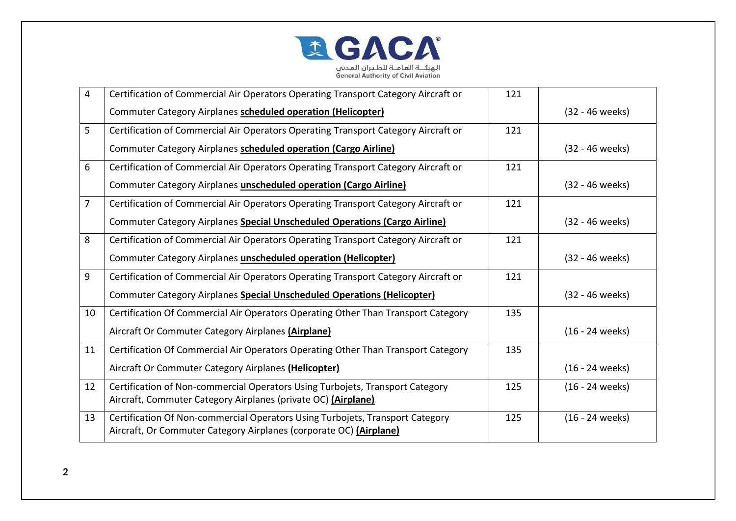

| 4  | Certification of Commercial Air Operators Operating Transport Category Aircraft or                                                                  | 121 |                   |
|----|-----------------------------------------------------------------------------------------------------------------------------------------------------|-----|-------------------|
|    | Commuter Category Airplanes scheduled operation (Helicopter)                                                                                        |     | (32 - 46 weeks)   |
| 5  | Certification of Commercial Air Operators Operating Transport Category Aircraft or                                                                  | 121 |                   |
|    | Commuter Category Airplanes scheduled operation (Cargo Airline)                                                                                     |     | (32 - 46 weeks)   |
| 6  | Certification of Commercial Air Operators Operating Transport Category Aircraft or                                                                  | 121 |                   |
|    | Commuter Category Airplanes unscheduled operation (Cargo Airline)                                                                                   |     | (32 - 46 weeks)   |
| 7  | Certification of Commercial Air Operators Operating Transport Category Aircraft or                                                                  | 121 |                   |
|    | Commuter Category Airplanes Special Unscheduled Operations (Cargo Airline)                                                                          |     | (32 - 46 weeks)   |
| 8  | Certification of Commercial Air Operators Operating Transport Category Aircraft or                                                                  | 121 |                   |
|    | Commuter Category Airplanes unscheduled operation (Helicopter)                                                                                      |     | (32 - 46 weeks)   |
| 9  | Certification of Commercial Air Operators Operating Transport Category Aircraft or                                                                  | 121 |                   |
|    | <b>Commuter Category Airplanes Special Unscheduled Operations (Helicopter)</b>                                                                      |     | (32 - 46 weeks)   |
| 10 | Certification Of Commercial Air Operators Operating Other Than Transport Category                                                                   | 135 |                   |
|    | Aircraft Or Commuter Category Airplanes (Airplane)                                                                                                  |     | (16 - 24 weeks)   |
| 11 | Certification Of Commercial Air Operators Operating Other Than Transport Category                                                                   | 135 |                   |
|    | Aircraft Or Commuter Category Airplanes (Helicopter)                                                                                                |     | $(16 - 24$ weeks) |
| 12 | Certification of Non-commercial Operators Using Turbojets, Transport Category<br>Aircraft, Commuter Category Airplanes (private OC) (Airplane)      | 125 | (16 - 24 weeks)   |
| 13 | Certification Of Non-commercial Operators Using Turbojets, Transport Category<br>Aircraft, Or Commuter Category Airplanes (corporate OC) (Airplane) | 125 | (16 - 24 weeks)   |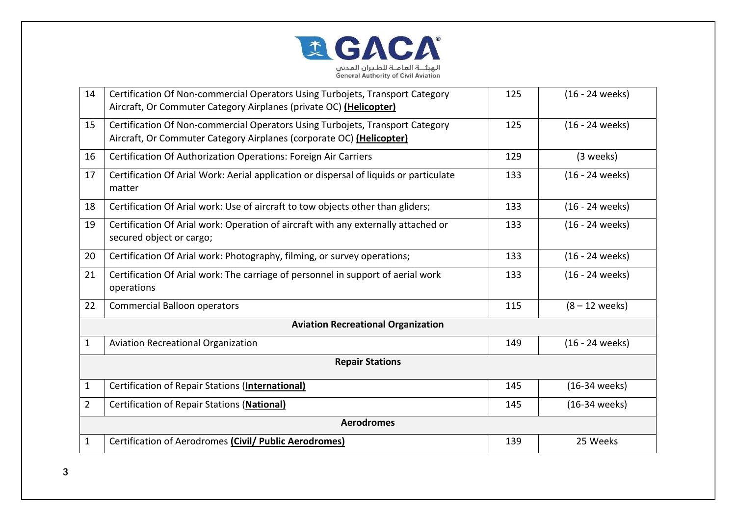

| 14                     | Certification Of Non-commercial Operators Using Turbojets, Transport Category<br>Aircraft, Or Commuter Category Airplanes (private OC) (Helicopter)   | 125 | (16 - 24 weeks)  |  |
|------------------------|-------------------------------------------------------------------------------------------------------------------------------------------------------|-----|------------------|--|
| 15                     | Certification Of Non-commercial Operators Using Turbojets, Transport Category<br>Aircraft, Or Commuter Category Airplanes (corporate OC) (Helicopter) | 125 | (16 - 24 weeks)  |  |
| 16                     | Certification Of Authorization Operations: Foreign Air Carriers                                                                                       | 129 | (3 weeks)        |  |
| 17                     | Certification Of Arial Work: Aerial application or dispersal of liquids or particulate<br>matter                                                      | 133 | (16 - 24 weeks)  |  |
| 18                     | Certification Of Arial work: Use of aircraft to tow objects other than gliders;                                                                       | 133 | (16 - 24 weeks)  |  |
| 19                     | Certification Of Arial work: Operation of aircraft with any externally attached or<br>secured object or cargo;                                        | 133 | (16 - 24 weeks)  |  |
| 20                     | Certification Of Arial work: Photography, filming, or survey operations;                                                                              | 133 | (16 - 24 weeks)  |  |
| 21                     | Certification Of Arial work: The carriage of personnel in support of aerial work<br>operations                                                        | 133 | (16 - 24 weeks)  |  |
| 22                     | <b>Commercial Balloon operators</b>                                                                                                                   | 115 | $(8 - 12$ weeks) |  |
|                        | <b>Aviation Recreational Organization</b>                                                                                                             |     |                  |  |
| $\mathbf{1}$           | <b>Aviation Recreational Organization</b>                                                                                                             | 149 | (16 - 24 weeks)  |  |
| <b>Repair Stations</b> |                                                                                                                                                       |     |                  |  |
| $\mathbf{1}$           | Certification of Repair Stations (International)                                                                                                      | 145 | (16-34 weeks)    |  |
| $\overline{2}$         | <b>Certification of Repair Stations (National)</b>                                                                                                    | 145 | (16-34 weeks)    |  |
| <b>Aerodromes</b>      |                                                                                                                                                       |     |                  |  |
| $\mathbf 1$            | Certification of Aerodromes (Civil/ Public Aerodromes)                                                                                                | 139 | 25 Weeks         |  |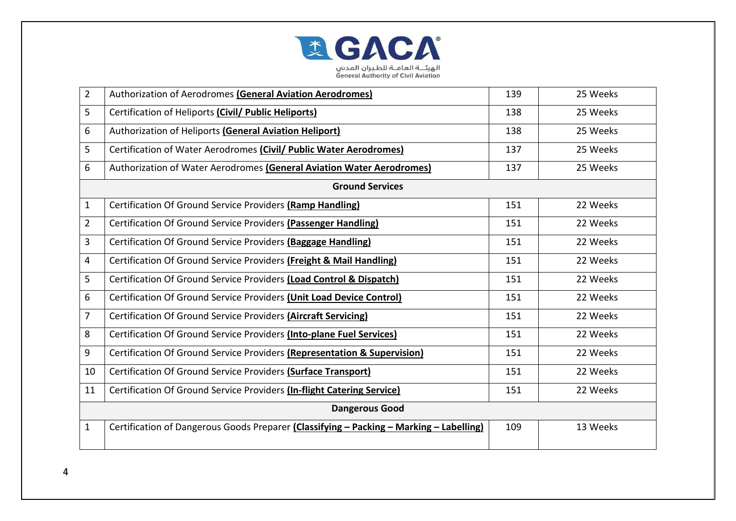

| $\overline{2}$        | Authorization of Aerodromes (General Aviation Aerodromes)                               | 139 | 25 Weeks |
|-----------------------|-----------------------------------------------------------------------------------------|-----|----------|
| 5                     | Certification of Heliports (Civil/ Public Heliports)                                    | 138 | 25 Weeks |
| 6                     | Authorization of Heliports (General Aviation Heliport)                                  | 138 | 25 Weeks |
| 5                     | Certification of Water Aerodromes (Civil/ Public Water Aerodromes)                      | 137 | 25 Weeks |
| 6                     | Authorization of Water Aerodromes (General Aviation Water Aerodromes)                   | 137 | 25 Weeks |
|                       | <b>Ground Services</b>                                                                  |     |          |
| 1                     | Certification Of Ground Service Providers (Ramp Handling)                               | 151 | 22 Weeks |
| $\overline{2}$        | Certification Of Ground Service Providers (Passenger Handling)                          | 151 | 22 Weeks |
| 3                     | Certification Of Ground Service Providers (Baggage Handling)                            | 151 | 22 Weeks |
| 4                     | Certification Of Ground Service Providers (Freight & Mail Handling)                     | 151 | 22 Weeks |
| 5                     | Certification Of Ground Service Providers (Load Control & Dispatch)                     | 151 | 22 Weeks |
| 6                     | Certification Of Ground Service Providers (Unit Load Device Control)                    | 151 | 22 Weeks |
| 7                     | Certification Of Ground Service Providers (Aircraft Servicing)                          | 151 | 22 Weeks |
| 8                     | Certification Of Ground Service Providers (Into-plane Fuel Services)                    | 151 | 22 Weeks |
| 9                     | Certification Of Ground Service Providers (Representation & Supervision)                | 151 | 22 Weeks |
| 10                    | Certification Of Ground Service Providers (Surface Transport)                           | 151 | 22 Weeks |
| 11                    | Certification Of Ground Service Providers (In-flight Catering Service)                  | 151 | 22 Weeks |
| <b>Dangerous Good</b> |                                                                                         |     |          |
| $\mathbf{1}$          | Certification of Dangerous Goods Preparer (Classifying - Packing - Marking - Labelling) | 109 | 13 Weeks |
|                       |                                                                                         |     |          |